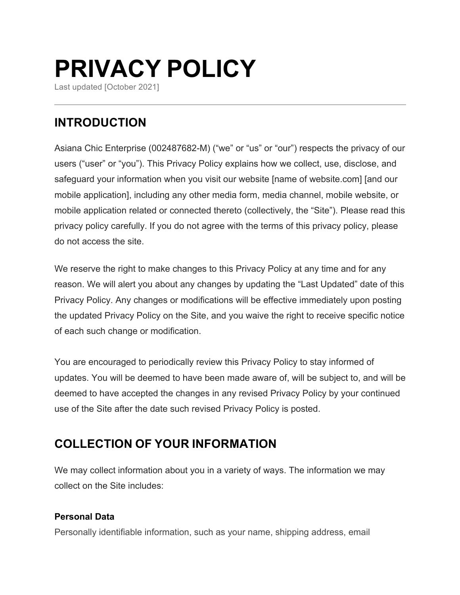# **PRIVACY POLICY**

Last updated [October 2021]

# **INTRODUCTION**

Asiana Chic Enterprise (002487682-M) ("we" or "us" or "our") respects the privacy of our users ("user" or "you"). This Privacy Policy explains how we collect, use, disclose, and safeguard your information when you visit our website [name of website.com] [and our mobile application], including any other media form, media channel, mobile website, or mobile application related or connected thereto (collectively, the "Site"). Please read this privacy policy carefully. If you do not agree with the terms of this privacy policy, please do not access the site.

We reserve the right to make changes to this Privacy Policy at any time and for any reason. We will alert you about any changes by updating the "Last Updated" date of this Privacy Policy. Any changes or modifications will be effective immediately upon posting the updated Privacy Policy on the Site, and you waive the right to receive specific notice of each such change or modification.

You are encouraged to periodically review this Privacy Policy to stay informed of updates. You will be deemed to have been made aware of, will be subject to, and will be deemed to have accepted the changes in any revised Privacy Policy by your continued use of the Site after the date such revised Privacy Policy is posted.

## **COLLECTION OF YOUR INFORMATION**

We may collect information about you in a variety of ways. The information we may collect on the Site includes:

#### **Personal Data**

Personally identifiable information, such as your name, shipping address, email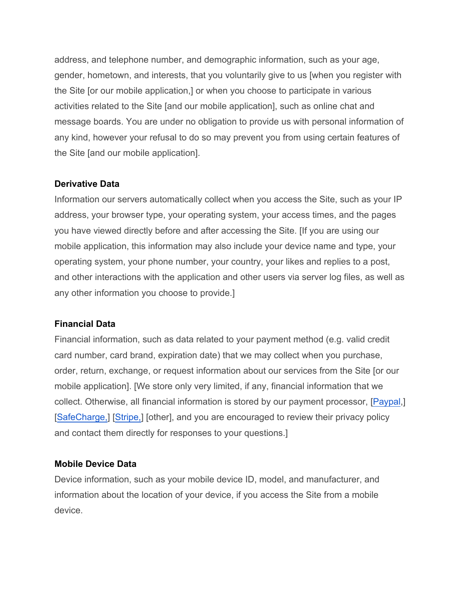address, and telephone number, and demographic information, such as your age, gender, hometown, and interests, that you voluntarily give to us [when you register with the Site [or our mobile application,] or when you choose to participate in various activities related to the Site [and our mobile application], such as online chat and message boards. You are under no obligation to provide us with personal information of any kind, however your refusal to do so may prevent you from using certain features of the Site [and our mobile application].

#### **Derivative Data**

Information our servers automatically collect when you access the Site, such as your IP address, your browser type, your operating system, your access times, and the pages you have viewed directly before and after accessing the Site. [If you are using our mobile application, this information may also include your device name and type, your operating system, your phone number, your country, your likes and replies to a post, and other interactions with the application and other users via server log files, as well as any other information you choose to provide.]

#### **Financial Data**

Financial information, such as data related to your payment method (e.g. valid credit card number, card brand, expiration date) that we may collect when you purchase, order, return, exchange, or request information about our services from the Site [or our mobile application]. [We store only very limited, if any, financial information that we collect. Otherwise, all financial information is stored by our payment processor, [Paypal,] [SafeCharge,] [Stripe,] [other], and you are encouraged to review their privacy policy and contact them directly for responses to your questions.]

#### **Mobile Device Data**

Device information, such as your mobile device ID, model, and manufacturer, and information about the location of your device, if you access the Site from a mobile device.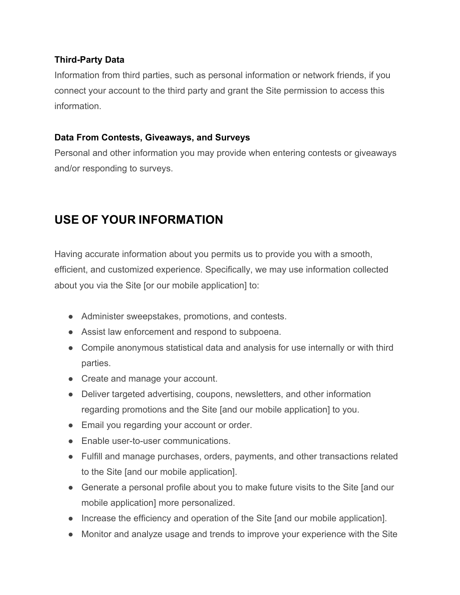#### **Third-Party Data**

Information from third parties, such as personal information or network friends, if you connect your account to the third party and grant the Site permission to access this information.

#### **Data From Contests, Giveaways, and Surveys**

Personal and other information you may provide when entering contests or giveaways and/or responding to surveys.

# **USE OF YOUR INFORMATION**

Having accurate information about you permits us to provide you with a smooth, efficient, and customized experience. Specifically, we may use information collected about you via the Site [or our mobile application] to:

- Administer sweepstakes, promotions, and contests.
- Assist law enforcement and respond to subpoena.
- Compile anonymous statistical data and analysis for use internally or with third parties.
- Create and manage your account.
- Deliver targeted advertising, coupons, newsletters, and other information regarding promotions and the Site [and our mobile application] to you.
- Email you regarding your account or order.
- Enable user-to-user communications.
- Fulfill and manage purchases, orders, payments, and other transactions related to the Site [and our mobile application].
- Generate a personal profile about you to make future visits to the Site [and our mobile application] more personalized.
- Increase the efficiency and operation of the Site [and our mobile application].
- Monitor and analyze usage and trends to improve your experience with the Site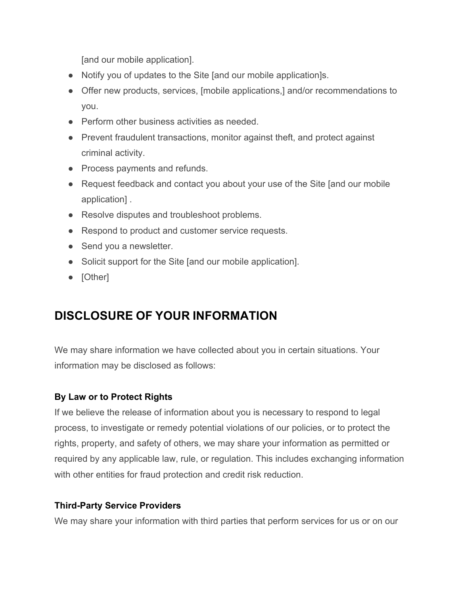[and our mobile application].

- Notify you of updates to the Site [and our mobile application]s.
- Offer new products, services, [mobile applications,] and/or recommendations to you.
- Perform other business activities as needed.
- Prevent fraudulent transactions, monitor against theft, and protect against criminal activity.
- Process payments and refunds.
- Request feedback and contact you about your use of the Site [and our mobile application] .
- Resolve disputes and troubleshoot problems.
- Respond to product and customer service requests.
- Send you a newsletter.
- Solicit support for the Site [and our mobile application].
- [Other]

## **DISCLOSURE OF YOUR INFORMATION**

We may share information we have collected about you in certain situations. Your information may be disclosed as follows:

## **By Law or to Protect Rights**

If we believe the release of information about you is necessary to respond to legal process, to investigate or remedy potential violations of our policies, or to protect the rights, property, and safety of others, we may share your information as permitted or required by any applicable law, rule, or regulation. This includes exchanging information with other entities for fraud protection and credit risk reduction.

## **Third-Party Service Providers**

We may share your information with third parties that perform services for us or on our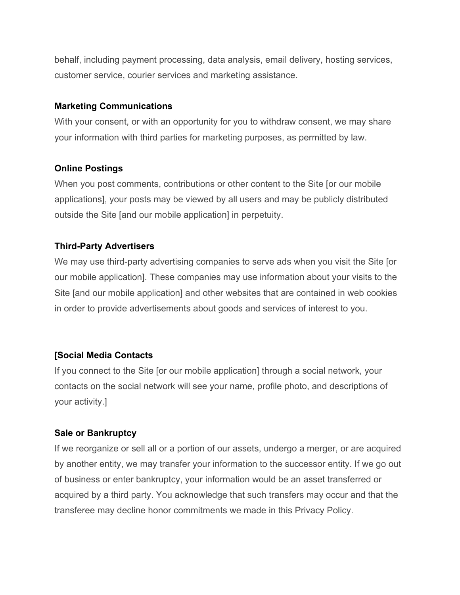behalf, including payment processing, data analysis, email delivery, hosting services, customer service, courier services and marketing assistance.

#### **Marketing Communications**

With your consent, or with an opportunity for you to withdraw consent, we may share your information with third parties for marketing purposes, as permitted by law.

#### **Online Postings**

When you post comments, contributions or other content to the Site [or our mobile applications], your posts may be viewed by all users and may be publicly distributed outside the Site [and our mobile application] in perpetuity.

#### **Third-Party Advertisers**

We may use third-party advertising companies to serve ads when you visit the Site [or our mobile application]. These companies may use information about your visits to the Site [and our mobile application] and other websites that are contained in web cookies in order to provide advertisements about goods and services of interest to you.

## **[Social Media Contacts**

If you connect to the Site [or our mobile application] through a social network, your contacts on the social network will see your name, profile photo, and descriptions of your activity.]

#### **Sale or Bankruptcy**

If we reorganize or sell all or a portion of our assets, undergo a merger, or are acquired by another entity, we may transfer your information to the successor entity. If we go out of business or enter bankruptcy, your information would be an asset transferred or acquired by a third party. You acknowledge that such transfers may occur and that the transferee may decline honor commitments we made in this Privacy Policy.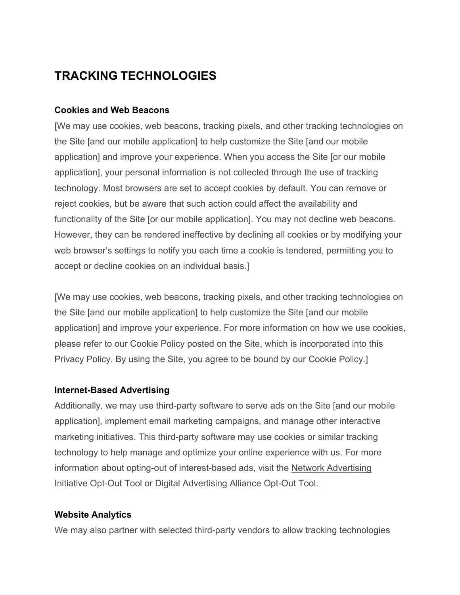## **TRACKING TECHNOLOGIES**

#### **Cookies and Web Beacons**

[We may use cookies, web beacons, tracking pixels, and other tracking technologies on the Site [and our mobile application] to help customize the Site [and our mobile application] and improve your experience. When you access the Site [or our mobile application], your personal information is not collected through the use of tracking technology. Most browsers are set to accept cookies by default. You can remove or reject cookies, but be aware that such action could affect the availability and functionality of the Site [or our mobile application]. You may not decline web beacons. However, they can be rendered ineffective by declining all cookies or by modifying your web browser's settings to notify you each time a cookie is tendered, permitting you to accept or decline cookies on an individual basis.]

[We may use cookies, web beacons, tracking pixels, and other tracking technologies on the Site [and our mobile application] to help customize the Site [and our mobile application] and improve your experience. For more information on how we use cookies, please refer to our Cookie Policy posted on the Site, which is incorporated into this Privacy Policy. By using the Site, you agree to be bound by our Cookie Policy.]

#### **Internet-Based Advertising**

Additionally, we may use third-party software to serve ads on the Site [and our mobile application], implement email marketing campaigns, and manage other interactive marketing initiatives. This third-party software may use cookies or similar tracking technology to help manage and optimize your online experience with us. For more information about opting-out of interest-based ads, visit the Network Advertising Initiative Opt-Out Tool or Digital Advertising Alliance Opt-Out Tool.

#### **Website Analytics**

We may also partner with selected third-party vendors to allow tracking technologies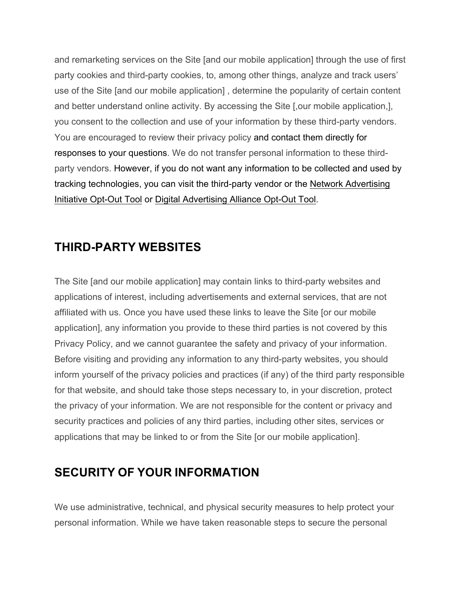and remarketing services on the Site [and our mobile application] through the use of first party cookies and third-party cookies, to, among other things, analyze and track users' use of the Site [and our mobile application] , determine the popularity of certain content and better understand online activity. By accessing the Site [,our mobile application,], you consent to the collection and use of your information by these third-party vendors. You are encouraged to review their privacy policy and contact them directly for responses to your questions. We do not transfer personal information to these thirdparty vendors. However, if you do not want any information to be collected and used by tracking technologies, you can visit the third-party vendor or the Network Advertising Initiative Opt-Out Tool or Digital Advertising Alliance Opt-Out Tool.

## **THIRD-PARTY WEBSITES**

The Site [and our mobile application] may contain links to third-party websites and applications of interest, including advertisements and external services, that are not affiliated with us. Once you have used these links to leave the Site [or our mobile application], any information you provide to these third parties is not covered by this Privacy Policy, and we cannot guarantee the safety and privacy of your information. Before visiting and providing any information to any third-party websites, you should inform yourself of the privacy policies and practices (if any) of the third party responsible for that website, and should take those steps necessary to, in your discretion, protect the privacy of your information. We are not responsible for the content or privacy and security practices and policies of any third parties, including other sites, services or applications that may be linked to or from the Site [or our mobile application].

## **SECURITY OF YOUR INFORMATION**

We use administrative, technical, and physical security measures to help protect your personal information. While we have taken reasonable steps to secure the personal